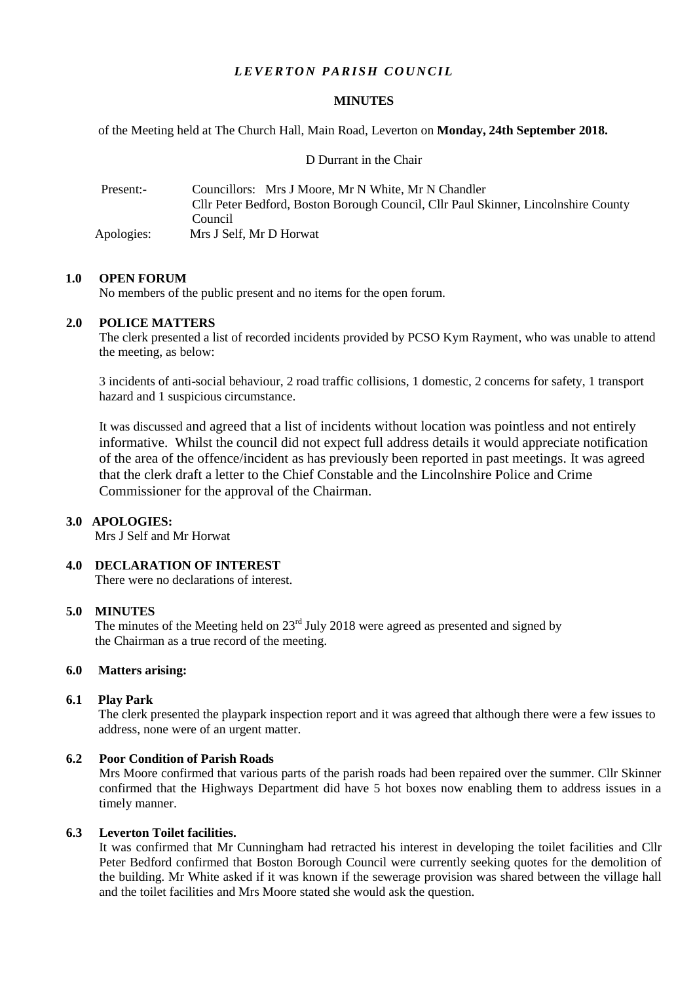# *LEVERTON PARISH COUNCIL*

### **MINUTES**

of the Meeting held at The Church Hall, Main Road, Leverton on **Monday, 24th September 2018.**

D Durrant in the Chair

| Present:-  | Councillors: Mrs J Moore, Mr N White, Mr N Chandler<br>Cllr Peter Bedford, Boston Borough Council, Cllr Paul Skinner, Lincolnshire County |
|------------|-------------------------------------------------------------------------------------------------------------------------------------------|
|            | Council                                                                                                                                   |
| Apologies: | Mrs J Self. Mr D Horwat                                                                                                                   |

### **1.0 OPEN FORUM**

No members of the public present and no items for the open forum.

## **2.0 POLICE MATTERS**

The clerk presented a list of recorded incidents provided by PCSO Kym Rayment, who was unable to attend the meeting, as below:

3 incidents of anti-social behaviour, 2 road traffic collisions, 1 domestic, 2 concerns for safety, 1 transport hazard and 1 suspicious circumstance.

It was discussed and agreed that a list of incidents without location was pointless and not entirely informative. Whilst the council did not expect full address details it would appreciate notification of the area of the offence/incident as has previously been reported in past meetings. It was agreed that the clerk draft a letter to the Chief Constable and the Lincolnshire Police and Crime Commissioner for the approval of the Chairman.

## **3.0 APOLOGIES:**

Mrs J Self and Mr Horwat

## **4.0 DECLARATION OF INTEREST**

There were no declarations of interest.

# **5.0 MINUTES**

The minutes of the Meeting held on  $23<sup>rd</sup>$  July 2018 were agreed as presented and signed by the Chairman as a true record of the meeting.

## **6.0 Matters arising:**

#### **6.1 Play Park**

The clerk presented the playpark inspection report and it was agreed that although there were a few issues to address, none were of an urgent matter.

#### **6.2 Poor Condition of Parish Roads**

Mrs Moore confirmed that various parts of the parish roads had been repaired over the summer. Cllr Skinner confirmed that the Highways Department did have 5 hot boxes now enabling them to address issues in a timely manner.

#### **6.3 Leverton Toilet facilities.**

It was confirmed that Mr Cunningham had retracted his interest in developing the toilet facilities and Cllr Peter Bedford confirmed that Boston Borough Council were currently seeking quotes for the demolition of the building. Mr White asked if it was known if the sewerage provision was shared between the village hall and the toilet facilities and Mrs Moore stated she would ask the question.